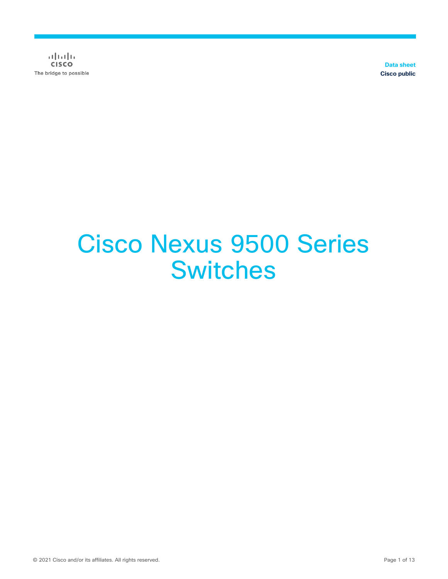$\alpha$  and  $\alpha$ **CISCO** The bridge to possible

**Data sheet Cisco public**

# Cisco Nexus 9500 Series **Switches**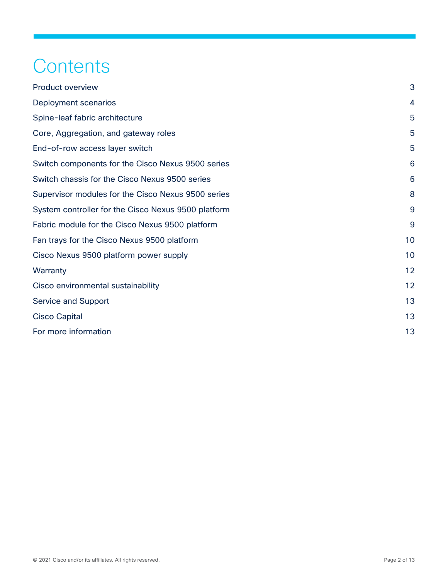## **Contents**

| <b>Product overview</b>                             | 3  |
|-----------------------------------------------------|----|
| Deployment scenarios                                | 4  |
| Spine-leaf fabric architecture                      | 5  |
| Core, Aggregation, and gateway roles                | 5  |
| End-of-row access layer switch                      | 5  |
| Switch components for the Cisco Nexus 9500 series   | 6  |
| Switch chassis for the Cisco Nexus 9500 series      | 6  |
| Supervisor modules for the Cisco Nexus 9500 series  | 8  |
| System controller for the Cisco Nexus 9500 platform | 9  |
| Fabric module for the Cisco Nexus 9500 platform     | 9  |
| Fan trays for the Cisco Nexus 9500 platform         | 10 |
| Cisco Nexus 9500 platform power supply              | 10 |
| Warranty                                            | 12 |
| Cisco environmental sustainability                  | 12 |
| <b>Service and Support</b>                          | 13 |
| <b>Cisco Capital</b>                                | 13 |
| For more information                                | 13 |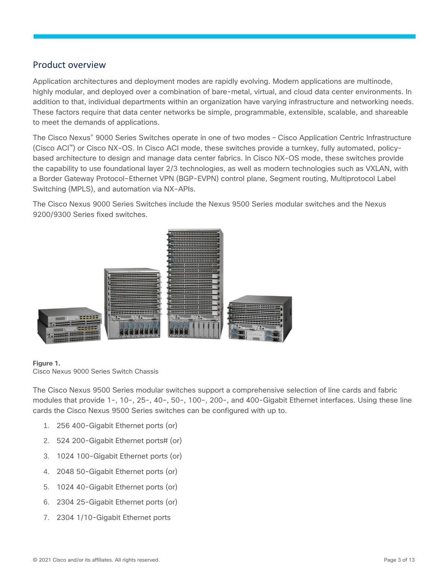#### <span id="page-2-0"></span>Product overview

Application architectures and deployment modes are rapidly evolving. Modern applications are multinode, highly modular, and deployed over a combination of bare-metal, virtual, and cloud data center environments. In addition to that, individual departments within an organization have varying infrastructure and networking needs. These factors require that data center networks be simple, programmable, extensible, scalable, and shareable to meet the demands of applications.

The Cisco Nexus® 9000 Series Switches operate in one of two modes – Cisco Application Centric Infrastructure (Cisco ACI™) or Cisco NX-OS. In Cisco ACI mode, these switches provide a turnkey, fully automated, policybased architecture to design and manage data center fabrics. In Cisco NX-OS mode, these switches provide the capability to use foundational layer 2/3 technologies, as well as modern technologies such as VXLAN, with a Border Gateway Protocol-Ethernet VPN (BGP-EVPN) control plane, Segment routing, Multiprotocol Label Switching (MPLS), and automation via NX-APIs.

The Cisco Nexus 9000 Series Switches include the Nexus 9500 Series modular switches and the Nexus 9200/9300 Series fixed switches.



#### **Figure 1.**

Cisco Nexus 9000 Series Switch Chassis

The Cisco Nexus 9500 Series modular switches support a comprehensive selection of line cards and fabric modules that provide 1-, 10-, 25-, 40-, 50-, 100-, 200-, and 400-Gigabit Ethernet interfaces. Using these line cards the Cisco Nexus 9500 Series switches can be configured with up to.

- 1. 256 400-Gigabit Ethernet ports (or)
- 2. 524 200-Gigabit Ethernet ports# (or)
- 3. 1024 100-Gigabit Ethernet ports (or)
- 4. 2048 50-Gigabit Ethernet ports (or)
- 5. 1024 40-Gigabit Ethernet ports (or)
- 6. 2304 25-Gigabit Ethernet ports (or)
- 7. 2304 1/10-Gigabit Ethernet ports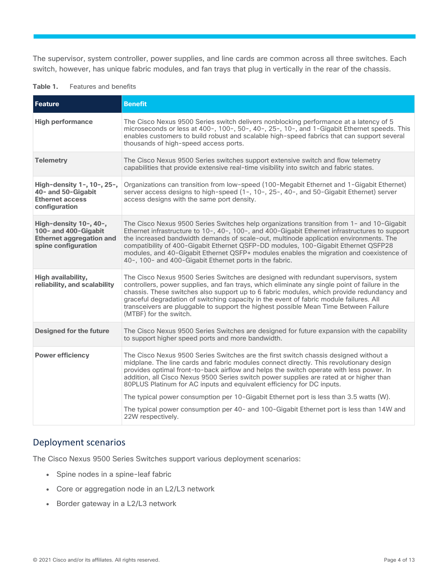The supervisor, system controller, power supplies, and line cards are common across all three switches. Each switch, however, has unique fabric modules, and fan trays that plug in vertically in the rear of the chassis.

| Feature                                                                                                  | <b>Benefit</b>                                                                                                                                                                                                                                                                                                                                                                                                                                                                                                                   |
|----------------------------------------------------------------------------------------------------------|----------------------------------------------------------------------------------------------------------------------------------------------------------------------------------------------------------------------------------------------------------------------------------------------------------------------------------------------------------------------------------------------------------------------------------------------------------------------------------------------------------------------------------|
| <b>High performance</b>                                                                                  | The Cisco Nexus 9500 Series switch delivers nonblocking performance at a latency of 5<br>microseconds or less at 400-, 100-, 50-, 40-, 25-, 10-, and 1-Gigabit Ethernet speeds. This<br>enables customers to build robust and scalable high-speed fabrics that can support several<br>thousands of high-speed access ports.                                                                                                                                                                                                      |
| <b>Telemetry</b>                                                                                         | The Cisco Nexus 9500 Series switches support extensive switch and flow telemetry<br>capabilities that provide extensive real-time visibility into switch and fabric states.                                                                                                                                                                                                                                                                                                                                                      |
| High-density 1-, 10-, 25-,<br>40- and 50-Gigabit<br><b>Ethernet access</b><br>configuration              | Organizations can transition from low-speed (100-Megabit Ethernet and 1-Gigabit Ethernet)<br>server access designs to high-speed (1-, 10-, 25-, 40-, and 50-Gigabit Ethernet) server<br>access designs with the same port density.                                                                                                                                                                                                                                                                                               |
| High-density 10-, 40-,<br>100- and 400-Gigabit<br><b>Ethernet aggregation and</b><br>spine configuration | The Cisco Nexus 9500 Series Switches help organizations transition from 1- and 10-Gigabit<br>Ethernet infrastructure to 10-, 40-, 100-, and 400-Gigabit Ethernet infrastructures to support<br>the increased bandwidth demands of scale-out, multinode application environments. The<br>compatibility of 400-Gigabit Ethernet QSFP-DD modules, 100-Gigabit Ethernet QSFP28<br>modules, and 40-Gigabit Ethernet QSFP+ modules enables the migration and coexistence of<br>40-, 100- and 400-Gigabit Ethernet ports in the fabric. |
| High availability,<br>reliability, and scalability                                                       | The Cisco Nexus 9500 Series Switches are designed with redundant supervisors, system<br>controllers, power supplies, and fan trays, which eliminate any single point of failure in the<br>chassis. These switches also support up to 6 fabric modules, which provide redundancy and<br>graceful degradation of switching capacity in the event of fabric module failures. All<br>transceivers are pluggable to support the highest possible Mean Time Between Failure<br>(MTBF) for the switch.                                  |
| <b>Designed for the future</b>                                                                           | The Cisco Nexus 9500 Series Switches are designed for future expansion with the capability<br>to support higher speed ports and more bandwidth.                                                                                                                                                                                                                                                                                                                                                                                  |
| <b>Power efficiency</b>                                                                                  | The Cisco Nexus 9500 Series Switches are the first switch chassis designed without a<br>midplane. The line cards and fabric modules connect directly. This revolutionary design<br>provides optimal front-to-back airflow and helps the switch operate with less power. In<br>addition, all Cisco Nexus 9500 Series switch power supplies are rated at or higher than<br>80PLUS Platinum for AC inputs and equivalent efficiency for DC inputs.                                                                                  |
|                                                                                                          | The typical power consumption per 10-Gigabit Ethernet port is less than 3.5 watts (W).                                                                                                                                                                                                                                                                                                                                                                                                                                           |
|                                                                                                          | The typical power consumption per 40- and 100-Gigabit Ethernet port is less than 14W and<br>22W respectively.                                                                                                                                                                                                                                                                                                                                                                                                                    |

#### **Table 1.** Features and benefits

#### <span id="page-3-0"></span>Deployment scenarios

The Cisco Nexus 9500 Series Switches support various deployment scenarios:

- Spine nodes in a spine-leaf fabric
- Core or aggregation node in an L2/L3 network
- Border gateway in a L2/L3 network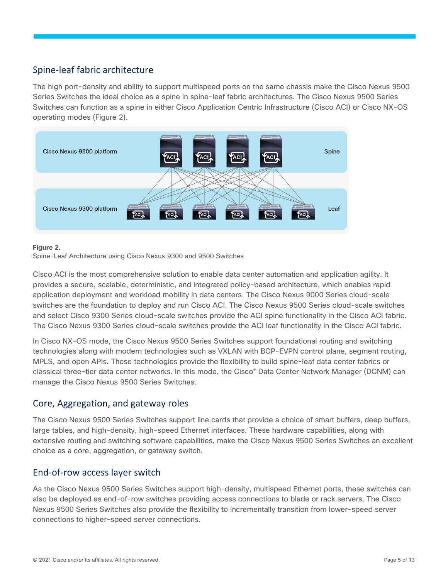## <span id="page-4-0"></span>Spine-leaf fabric architecture

The high port-density and ability to support multispeed ports on the same chassis make the Cisco Nexus 9500 Series Switches the ideal choice as a spine in spine-leaf fabric architectures. The Cisco Nexus 9500 Series Switches can function as a spine in either Cisco Application Centric Infrastructure (Cisco ACI) or Cisco NX-OS operating modes (Figure 2).



#### **Figure 2.**

Spine-Leaf Architecture using Cisco Nexus 9300 and 9500 Switches

Cisco ACI is the most comprehensive solution to enable data center automation and application agility. It provides a secure, scalable, deterministic, and integrated policy-based architecture, which enables rapid application deployment and workload mobility in data centers. The Cisco Nexus 9000 Series cloud-scale switches are the foundation to deploy and run Cisco ACI. The Cisco Nexus 9500 Series cloud-scale switches and select Cisco 9300 Series cloud-scale switches provide the ACI spine functionality in the Cisco ACI fabric. The Cisco Nexus 9300 Series cloud-scale switches provide the ACI leaf functionality in the Cisco ACI fabric.

In Cisco NX-OS mode, the Cisco Nexus 9500 Series Switches support foundational routing and switching technologies along with modern technologies such as VXLAN with BGP-EVPN control plane, segment routing, MPLS, and open APIs. These technologies provide the flexibility to build spine-leaf data center fabrics or classical three-tier data center networks. In this mode, the Cisco® Data Center Network Manager (DCNM) can manage the Cisco Nexus 9500 Series Switches.

#### <span id="page-4-1"></span>Core, Aggregation, and gateway roles

The Cisco Nexus 9500 Series Switches support line cards that provide a choice of smart buffers, deep buffers, large tables, and high-density, high-speed Ethernet interfaces. These hardware capabilities, along with extensive routing and switching software capabilities, make the Cisco Nexus 9500 Series Switches an excellent choice as a core, aggregation, or gateway switch.

#### <span id="page-4-2"></span>End-of-row access layer switch

As the Cisco Nexus 9500 Series Switches support high-density, multispeed Ethernet ports, these switches can also be deployed as end-of-row switches providing access connections to blade or rack servers. The Cisco Nexus 9500 Series Switches also provide the flexibility to incrementally transition from lower-speed server connections to higher-speed server connections.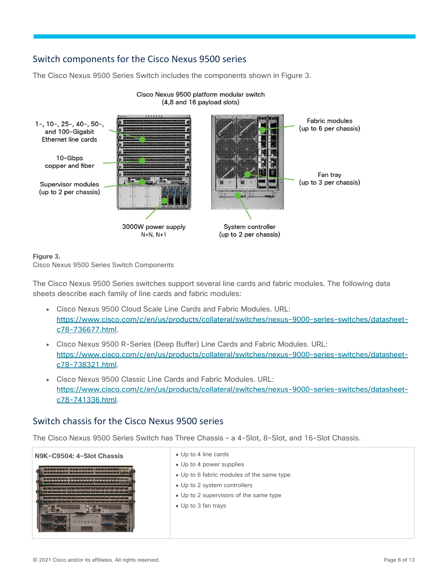## <span id="page-5-0"></span>Switch components for the Cisco Nexus 9500 series

The Cisco Nexus 9500 Series Switch includes the components shown in Figure 3.



#### Cisco Nexus 9500 platform modular switch (4,8 and 16 payload slots)

#### **Figure 3.**

Cisco Nexus 9500 Series Switch Components

The Cisco Nexus 9500 Series switches support several line cards and fabric modules. The following data sheets describe each family of line cards and fabric modules:

- Cisco Nexus 9500 Cloud Scale Line Cards and Fabric Modules. URL: [https://www.cisco.com/c/en/us/products/collateral/switches/nexus-9000-series-switches/datasheet](https://www.cisco.com/c/en/us/products/collateral/switches/nexus-9000-series-switches/datasheet-c78-736677.html)[c78-736677.html.](https://www.cisco.com/c/en/us/products/collateral/switches/nexus-9000-series-switches/datasheet-c78-736677.html)
- Cisco Nexus 9500 R-Series (Deep Buffer) Line Cards and Fabric Modules. URL: [https://www.cisco.com/c/en/us/products/collateral/switches/nexus-9000-series-switches/datasheet](https://www.cisco.com/c/en/us/products/collateral/switches/nexus-9000-series-switches/datasheet-c78-738321.html)[c78-738321.html.](https://www.cisco.com/c/en/us/products/collateral/switches/nexus-9000-series-switches/datasheet-c78-738321.html)
- Cisco Nexus 9500 Classic Line Cards and Fabric Modules. URL: [https://www.cisco.com/c/en/us/products/collateral/switches/nexus-9000-series-switches/datasheet](https://www.cisco.com/c/en/us/products/collateral/switches/nexus-9000-series-switches/datasheet-c78-741336.html)[c78-741336.html.](https://www.cisco.com/c/en/us/products/collateral/switches/nexus-9000-series-switches/datasheet-c78-741336.html)

## <span id="page-5-1"></span>Switch chassis for the Cisco Nexus 9500 series

The Cisco Nexus 9500 Series Switch has Three Chassis – a 4-Slot, 8-Slot, and 16-Slot Chassis.

## **N9K-C9504: 4-Slot Chassis** <br> **a** Up to 4 line cards • Up to 4 power supplies • Up to 6 fabric modules of the same type ● Up to 2 system controllers ● Up to 2 supervisors of the same type ● Up to 3 fan trays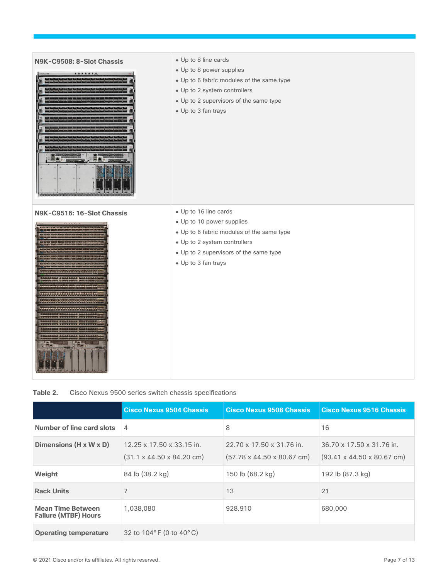

| Table 2. |  |  |  |  | Cisco Nexus 9500 series switch chassis specifications |
|----------|--|--|--|--|-------------------------------------------------------|
|----------|--|--|--|--|-------------------------------------------------------|

|                                                         | <b>Cisco Nexus 9504 Chassis</b>                                            | <b>Cisco Nexus 9508 Chassis</b>                                     | <b>Cisco Nexus 9516 Chassis</b>                                     |
|---------------------------------------------------------|----------------------------------------------------------------------------|---------------------------------------------------------------------|---------------------------------------------------------------------|
| Number of line card slots                               | 4                                                                          | 8                                                                   | 16                                                                  |
| Dimensions (H x W x D)                                  | 12.25 x 17.50 x 33.15 in.<br>$(31.1 \times 44.50 \times 84.20 \text{ cm})$ | 22.70 x 17.50 x 31.76 in.<br>$(57.78 \times 44.50 \times 80.67$ cm) | 36.70 x 17.50 x 31.76 in.<br>$(93.41 \times 44.50 \times 80.67$ cm) |
| Weight                                                  | 84 lb (38.2 kg)                                                            | 150 lb (68.2 kg)                                                    | 192 lb (87.3 kg)                                                    |
| <b>Rack Units</b>                                       | 7                                                                          | 13                                                                  | 21                                                                  |
| <b>Mean Time Between</b><br><b>Failure (MTBF) Hours</b> | 1,038,080                                                                  | 928.910                                                             | 680,000                                                             |
| <b>Operating temperature</b>                            | 32 to $104^{\circ}$ F (0 to $40^{\circ}$ C)                                |                                                                     |                                                                     |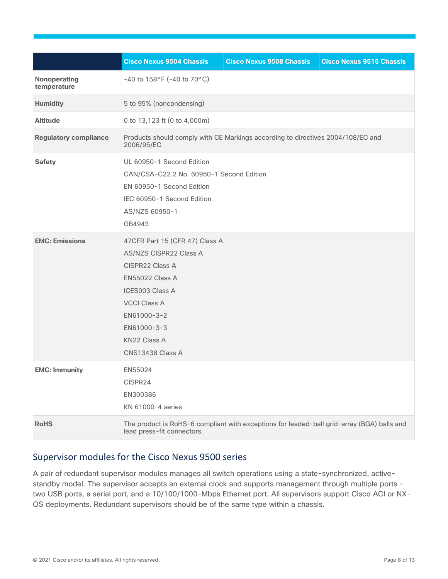|                              | <b>Cisco Nexus 9504 Chassis</b>                                                                                                                                                                                          | <b>Cisco Nexus 9508 Chassis</b> | <b>Cisco Nexus 9516 Chassis</b> |
|------------------------------|--------------------------------------------------------------------------------------------------------------------------------------------------------------------------------------------------------------------------|---------------------------------|---------------------------------|
| Nonoperating<br>temperature  | $-40$ to $158^{\circ}$ F ( $-40$ to $70^{\circ}$ C)                                                                                                                                                                      |                                 |                                 |
| <b>Humidity</b>              | 5 to 95% (noncondensing)                                                                                                                                                                                                 |                                 |                                 |
| <b>Altitude</b>              | 0 to 13,123 ft (0 to 4,000m)                                                                                                                                                                                             |                                 |                                 |
| <b>Regulatory compliance</b> | Products should comply with CE Markings according to directives 2004/108/EC and<br>2006/95/EC                                                                                                                            |                                 |                                 |
| <b>Safety</b>                | UL 60950-1 Second Edition<br>CAN/CSA-C22.2 No. 60950-1 Second Edition<br>EN 60950-1 Second Edition<br>IEC 60950-1 Second Edition<br>AS/NZS 60950-1<br>GB4943                                                             |                                 |                                 |
| <b>EMC: Emissions</b>        | 47CFR Part 15 (CFR 47) Class A<br>AS/NZS CISPR22 Class A<br>CISPR22 Class A<br><b>EN55022 Class A</b><br><b>ICES003 Class A</b><br><b>VCCI Class A</b><br>EN61000-3-2<br>EN61000-3-3<br>KN22 Class A<br>CNS13438 Class A |                                 |                                 |
| <b>EMC: Immunity</b>         | EN55024<br>CISPR24<br>EN300386<br>KN 61000-4 series                                                                                                                                                                      |                                 |                                 |
| <b>RoHS</b>                  | The product is RoHS-6 compliant with exceptions for leaded-ball grid-array (BGA) balls and<br>lead press-fit connectors.                                                                                                 |                                 |                                 |

## <span id="page-7-0"></span>Supervisor modules for the Cisco Nexus 9500 series

A pair of redundant supervisor modules manages all switch operations using a state-synchronized, activestandby model. The supervisor accepts an external clock and supports management through multiple ports two USB ports, a serial port, and a 10/100/1000-Mbps Ethernet port. All supervisors support Cisco ACI or NX-OS deployments. Redundant supervisors should be of the same type within a chassis.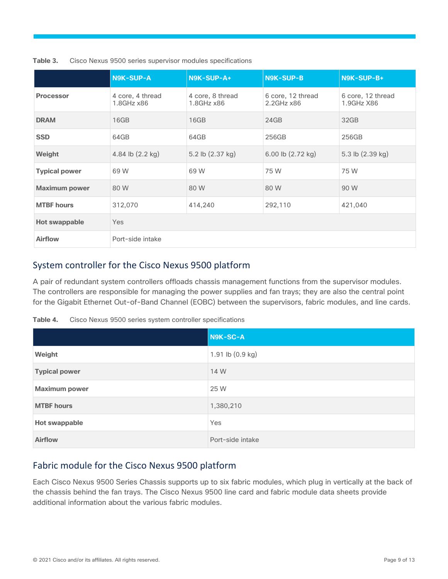|                      | <b>N9K-SUP-A</b>                    | N9K-SUP-A+                          | <b>N9K-SUP-B</b>                     | N9K-SUP-B+                      |
|----------------------|-------------------------------------|-------------------------------------|--------------------------------------|---------------------------------|
| <b>Processor</b>     | 4 core, 4 thread<br>$1.8$ GHz $x86$ | 4 core, 8 thread<br>$1.8$ GHz $x86$ | 6 core, 12 thread<br>$2.2$ GHz $x86$ | 6 core, 12 thread<br>1.9GHz X86 |
| <b>DRAM</b>          | 16GB                                | 16GB                                | 24GB                                 | 32GB                            |
| <b>SSD</b>           | 64GB                                | 64GB                                | 256GB                                | 256GB                           |
| Weight               | 4.84 lb (2.2 kg)                    | 5.2 lb (2.37 kg)                    | 6.00 lb (2.72 kg)                    | 5.3 lb (2.39 kg)                |
| <b>Typical power</b> | 69 W                                | 69 W                                | 75 W                                 | 75 W                            |
| <b>Maximum power</b> | 80 W                                | 80 W                                | 80 W                                 | 90 W                            |
| <b>MTBF</b> hours    | 312,070                             | 414,240                             | 292,110                              | 421,040                         |
| <b>Hot swappable</b> | <b>Yes</b>                          |                                     |                                      |                                 |
| <b>Airflow</b>       | Port-side intake                    |                                     |                                      |                                 |

**Table 3.** Cisco Nexus 9500 series supervisor modules specifications

## <span id="page-8-0"></span>System controller for the Cisco Nexus 9500 platform

A pair of redundant system controllers offloads chassis management functions from the supervisor modules. The controllers are responsible for managing the power supplies and fan trays; they are also the central point for the Gigabit Ethernet Out-of-Band Channel (EOBC) between the supervisors, fabric modules, and line cards.

| Table 4. |  |  | Cisco Nexus 9500 series system controller specifications |
|----------|--|--|----------------------------------------------------------|
|          |  |  |                                                          |

|                      | N9K-SC-A         |
|----------------------|------------------|
| Weight               | 1.91 lb (0.9 kg) |
| <b>Typical power</b> | 14 W             |
| <b>Maximum power</b> | 25 W             |
| <b>MTBF hours</b>    | 1,380,210        |
| <b>Hot swappable</b> | Yes              |
| <b>Airflow</b>       | Port-side intake |

## <span id="page-8-1"></span>Fabric module for the Cisco Nexus 9500 platform

Each Cisco Nexus 9500 Series Chassis supports up to six fabric modules, which plug in vertically at the back of the chassis behind the fan trays. The Cisco Nexus 9500 line card and fabric module data sheets provide additional information about the various fabric modules.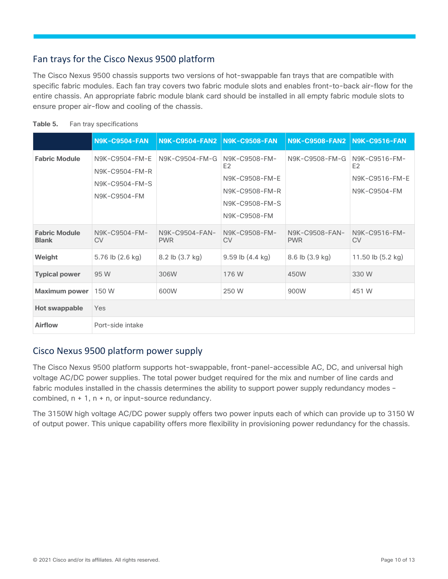## <span id="page-9-0"></span>Fan trays for the Cisco Nexus 9500 platform

The Cisco Nexus 9500 chassis supports two versions of hot-swappable fan trays that are compatible with specific fabric modules. Each fan tray covers two fabric module slots and enables front-to-back air-flow for the entire chassis. An appropriate fabric module blank card should be installed in all empty fabric module slots to ensure proper air-flow and cooling of the chassis.

|                                      | <b>N9K-C9504-FAN</b>                                               | <b>N9K-C9504-FAN2</b>        | <b>N9K-C9508-FAN</b>                                                                                  | <b>N9K-C9508-FAN2</b>        | <b>N9K-C9516-FAN</b>                                              |
|--------------------------------------|--------------------------------------------------------------------|------------------------------|-------------------------------------------------------------------------------------------------------|------------------------------|-------------------------------------------------------------------|
| <b>Fabric Module</b>                 | N9K-C9504-FM-F<br>N9K-C9504-FM-R<br>N9K-C9504-FM-S<br>N9K-C9504-FM | N9K-C9504-FM-G               | N9K-C9508-FM-<br>E <sub>2</sub><br>N9K-C9508-FM-E<br>N9K-C9508-FM-R<br>N9K-C9508-FM-S<br>N9K-C9508-FM | N9K-C9508-FM-G               | N9K-C9516-FM-<br>E <sub>2</sub><br>N9K-C9516-FM-E<br>N9K-C9504-FM |
| <b>Fabric Module</b><br><b>Blank</b> | N9K-C9504-FM-<br><b>CV</b>                                         | N9K-C9504-FAN-<br><b>PWR</b> | N9K-C9508-FM-<br><b>CV</b>                                                                            | N9K-C9508-FAN-<br><b>PWR</b> | N9K-C9516-FM-<br><b>CV</b>                                        |
| Weight                               | 5.76 lb (2.6 kg)                                                   | 8.2 lb (3.7 kg)              | $9.59$ lb $(4.4 \text{ kg})$                                                                          | 8.6 lb (3.9 kg)              | 11.50 lb (5.2 kg)                                                 |
| <b>Typical power</b>                 | 95 W                                                               | 306W                         | 176 W                                                                                                 | 450W                         | 330 W                                                             |
| <b>Maximum power</b>                 | 150 W                                                              | 600W                         | 250 W                                                                                                 | 900W                         | 451 W                                                             |
| Hot swappable                        | Yes                                                                |                              |                                                                                                       |                              |                                                                   |
| Airflow                              | Port-side intake                                                   |                              |                                                                                                       |                              |                                                                   |

| Table 5. |  | Fan tray specifications |
|----------|--|-------------------------|
|          |  |                         |

## <span id="page-9-1"></span>Cisco Nexus 9500 platform power supply

The Cisco Nexus 9500 platform supports hot-swappable, front-panel-accessible AC, DC, and universal high voltage AC/DC power supplies. The total power budget required for the mix and number of line cards and fabric modules installed in the chassis determines the ability to support power supply redundancy modes combined,  $n + 1$ ,  $n + n$ , or input-source redundancy.

The 3150W high voltage AC/DC power supply offers two power inputs each of which can provide up to 3150 W of output power. This unique capability offers more flexibility in provisioning power redundancy for the chassis.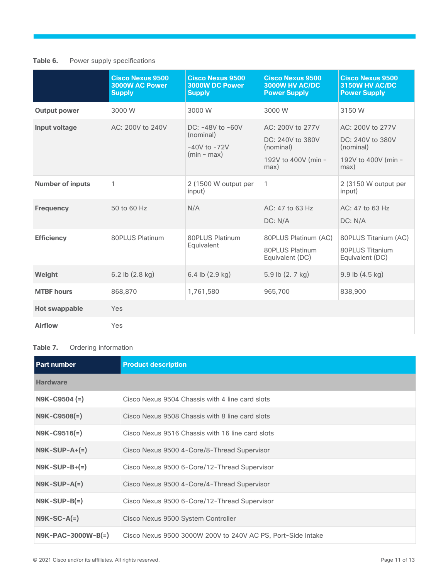#### Table 6. Power supply specifications

|                         | <b>Cisco Nexus 9500</b><br>3000W AC Power<br><b>Supply</b> | <b>Cisco Nexus 9500</b><br>3000W DC Power<br><b>Supply</b>         | <b>Cisco Nexus 9500</b><br>3000W HV AC/DC<br><b>Power Supply</b>                 | <b>Cisco Nexus 9500</b><br>3150W HV AC/DC<br><b>Power Supply</b>                 |
|-------------------------|------------------------------------------------------------|--------------------------------------------------------------------|----------------------------------------------------------------------------------|----------------------------------------------------------------------------------|
| <b>Output power</b>     | 3000 W                                                     | 3000 W                                                             | 3000 W                                                                           | 3150 W                                                                           |
| Input voltage           | AC: 200V to 240V                                           | DC: -48V to -60V<br>(nominal)<br>$-40V$ to $-72V$<br>$(min - max)$ | AC: 200V to 277V<br>DC: 240V to 380V<br>(nominal)<br>192V to 400V (min -<br>max) | AC: 200V to 277V<br>DC: 240V to 380V<br>(nominal)<br>192V to 400V (min -<br>max) |
| <b>Number of inputs</b> | 1                                                          | 2 (1500 W output per<br>input)                                     | $\mathbf{1}$                                                                     | 2 (3150 W output per<br>input)                                                   |
| <b>Frequency</b>        | 50 to 60 Hz                                                | N/A                                                                | AC: 47 to 63 Hz<br>DC: N/A                                                       | AC: 47 to 63 Hz<br>DC: N/A                                                       |
| <b>Efficiency</b>       | 80PLUS Platinum                                            | 80PLUS Platinum<br>Equivalent                                      | 80PLUS Platinum (AC)<br>80PLUS Platinum<br>Equivalent (DC)                       | 80PLUS Titanium (AC)<br>80PLUS Titanium<br>Equivalent (DC)                       |
| Weight                  | 6.2 lb $(2.8 \text{ kg})$                                  | 6.4 lb $(2.9 \text{ kg})$                                          | 5.9 lb (2. 7 kg)                                                                 | $9.9$ lb $(4.5$ kg)                                                              |
| <b>MTBF</b> hours       | 868,870                                                    | 1,761,580                                                          | 965,700                                                                          | 838,900                                                                          |
| <b>Hot swappable</b>    | Yes                                                        |                                                                    |                                                                                  |                                                                                  |
| Airflow                 | Yes                                                        |                                                                    |                                                                                  |                                                                                  |

#### Table 7. Ordering information

| <b>Part number</b>   | <b>Product description</b>                                  |
|----------------------|-------------------------------------------------------------|
| <b>Hardware</b>      |                                                             |
| $N9K-C9504 (=)$      | Cisco Nexus 9504 Chassis with 4 line card slots             |
| $N9K - C9508(=)$     | Cisco Nexus 9508 Chassis with 8 line card slots             |
| $N9K-C9516(=)$       | Cisco Nexus 9516 Chassis with 16 line card slots            |
| $NSK-SUP-A+ (=)$     | Cisco Nexus 9500 4-Core/8-Thread Supervisor                 |
| $NSK-SUP-B+ (=)$     | Cisco Nexus 9500 6-Core/12-Thread Supervisor                |
| $NSK-SUP-A(=)$       | Cisco Nexus 9500 4-Core/4-Thread Supervisor                 |
| $NSK-SUP-B(=)$       | Cisco Nexus 9500 6-Core/12-Thread Supervisor                |
| $N9K-SC-A(=)$        | Cisco Nexus 9500 System Controller                          |
| $N9K-PAC-3000W-B(=)$ | Cisco Nexus 9500 3000W 200V to 240V AC PS, Port-Side Intake |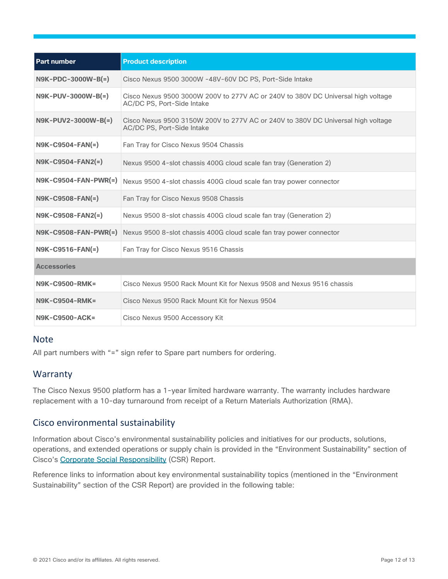| <b>Part number</b>     | <b>Product description</b>                                                                                     |
|------------------------|----------------------------------------------------------------------------------------------------------------|
| $N9K-PDC-3000W-B(=)$   | Cisco Nexus 9500 3000W -48V-60V DC PS, Port-Side Intake                                                        |
| $N9K-PUV-3000W-B(=)$   | Cisco Nexus 9500 3000W 200V to 277V AC or 240V to 380V DC Universal high voltage<br>AC/DC PS, Port-Side Intake |
| N9K-PUV2-3000W-B(=)    | Cisco Nexus 9500 3150W 200V to 277V AC or 240V to 380V DC Universal high voltage<br>AC/DC PS, Port-Side Intake |
| $N9K-C9504-FAN(=)$     | Fan Tray for Cisco Nexus 9504 Chassis                                                                          |
| N9K-C9504-FAN2(=)      | Nexus 9500 4-slot chassis 400G cloud scale fan tray (Generation 2)                                             |
| $N9K-C9504-FAN-PWR(=)$ | Nexus 9500 4-slot chassis 400G cloud scale fan tray power connector                                            |
| $N9K-C9508-FAN(=)$     | Fan Tray for Cisco Nexus 9508 Chassis                                                                          |
| $N9K-C9508-FAN2(=)$    | Nexus 9500 8-slot chassis 400G cloud scale fan tray (Generation 2)                                             |
|                        | N9K-C9508-FAN-PWR(=) Nexus 9500 8-slot chassis 400G cloud scale fan tray power connector                       |
| N9K-C9516-FAN(=)       | Fan Tray for Cisco Nexus 9516 Chassis                                                                          |
| <b>Accessories</b>     |                                                                                                                |
| <b>N9K-C9500-RMK=</b>  | Cisco Nexus 9500 Rack Mount Kit for Nexus 9508 and Nexus 9516 chassis                                          |
| <b>N9K-C9504-RMK=</b>  | Cisco Nexus 9500 Rack Mount Kit for Nexus 9504                                                                 |
| N9K-C9500-ACK=         | Cisco Nexus 9500 Accessory Kit                                                                                 |

#### **Note**

All part numbers with "=" sign refer to Spare part numbers for ordering.

## <span id="page-11-0"></span>Warranty

The Cisco Nexus 9500 platform has a 1-year limited hardware warranty. The warranty includes hardware replacement with a 10-day turnaround from receipt of a Return Materials Authorization (RMA).

## <span id="page-11-1"></span>Cisco environmental sustainability

Information about Cisco's environmental sustainability policies and initiatives for our products, solutions, operations, and extended operations or supply chain is provided in the "Environment Sustainability" section of Cisco's [Corporate Social Responsibility](https://www-1.compliance2product.com/c2p/getAttachment.do?code=YM6Y0yThdO6Wj1FxxYPYfUG2dtFkTeFWGpzLRO8tcURFEifUCRV403Tq2ZMWP6Ai) (CSR) Report.

Reference links to information about key environmental sustainability topics (mentioned in the "Environment Sustainability" section of the CSR Report) are provided in the following table: